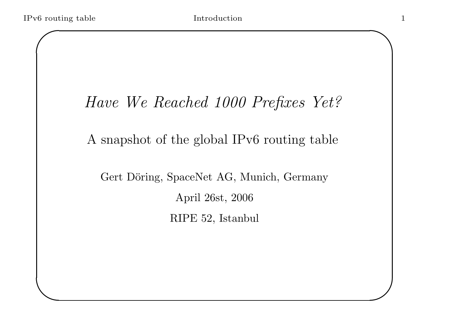$\setminus$ 

 $\bigwedge$ 

 $\mathcal{S}$ 

## Have We Reached 1000 Prefixes Yet?

### A snapshot of the global IPv6 routing table

Gert Döring, SpaceNet AG, Munich, Germany April 26st, 2006 RIPE 52, Istanbul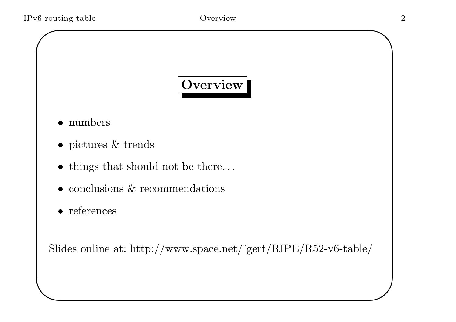$\setminus$ 

# Overview

- numbers
- pictures & trends
- things that should not be there...
- conclusions & recommendations
- references

Slides online at: http://www.space.net/˜gert/RIPE/R52-v6-table/

 $\bigwedge$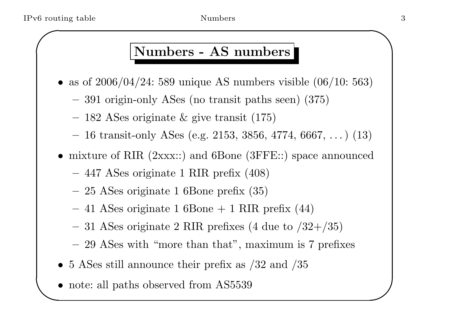#### Numbers - AS numbers

- as of  $2006/04/24$ : 589 unique AS numbers visible  $(06/10: 563)$ 
	- <sup>391</sup> origin-only ASes (no transit paths seen) (375)
	- $-$  182 ASes originate & give transit (175)
	- $-$  16 transit-only ASes (e.g. 2153, 3856, 4774, 6667,  $\dots$ ) (13)
- mixture of RIR (2xxx::) and 6Bone (3FFE::) space announced
	- <sup>447</sup> ASes originate <sup>1</sup> RIR prefix (408)
	- $-$  25 ASes originate 1 6Bone prefix  $(35)$
	- $-$  41 ASes originate 1 6Bone + 1 RIR prefix  $(44)$
	- $-31$  ASes originate 2 RIR prefixes (4 due to  $/32+/35$ )
	- 29 ASes with "more than that", maximum is 7 prefixes
- 5 ASes still announce their prefix as  $/32$  and  $/35$
- $\setminus$ • note: all paths observed from AS5539

 $\bigwedge$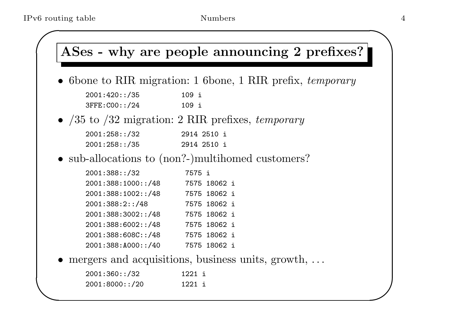$\sqrt{2}$ 

 $\setminus$ 

• 6 bone to RIR migration: 1 6 bone, 1 RIR prefix, temporary

| 2001:420::/35 | 109 i |  |
|---------------|-------|--|
| 3FFE:C00::/24 | 109 i |  |

•  $/35$  to  $/32$  migration: 2 RIR prefixes, temporary

| 2001:258::/32 | 2914 2510 i |  |
|---------------|-------------|--|
| 2001:258::/35 | 2914 2510 i |  |

• sub-allocations to (non?-)multihomed customers?

| 2001:388::/32      | 7575 i |              |  |
|--------------------|--------|--------------|--|
| 2001:388:1000::/48 |        | 7575 18062 i |  |
| 2001:388:1002::/48 |        | 7575 18062 i |  |
| 2001:388:2::/48    |        | 7575 18062 i |  |
| 2001:388:3002::/48 |        | 7575 18062 i |  |
| 2001:388:6002::/48 |        | 7575 18062 i |  |
| 2001:388:608C::/48 |        | 7575 18062 i |  |
| 2001:388:A000::/40 |        | 7575 18062 i |  |

• mergers and acquisitions, business units, growth, ...

| 2001:360::/32  | 1221 i |  |
|----------------|--------|--|
| 2001:8000::/20 | 1221 i |  |

 $\sum_{i=1}^n$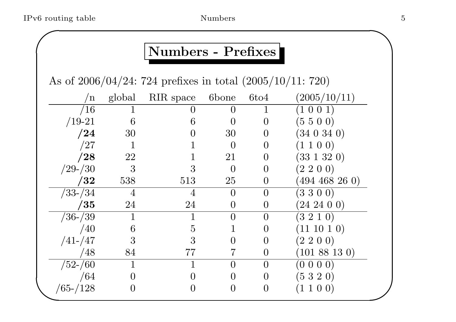## Numbers - Prefixes

As of 2006/04/24: <sup>724</sup> prefixes in total (2005/10/11: 720)

| n             | global         | RIR space      | 6bone            | 6t <sub>04</sub> | (2005/10/11)        |
|---------------|----------------|----------------|------------------|------------------|---------------------|
| /16           |                |                | $\theta$         |                  | (1 0 0 1)           |
| $/19-21$      | 6              | 6              | $\left( \right)$ | $\theta$         | (5500)              |
| /24           | 30             |                | 30               | $\theta$         | (340340)            |
| /27           |                |                | $\overline{0}$   | $\theta$         | (1 1 0 0)           |
| $/28\,$       | 22             |                | 21               | $\left( \right)$ | $(33\; 1\; 32\; 0)$ |
| $/29 - / 30$  | 3              |                | $\Omega$         | $\theta$         | $(2\; 2\; 0\; 0)$   |
| /32           | 538            | 513            | 25               | 0                | $(494\;468\;26\;0)$ |
| $/33 - / 34$  | $\overline{4}$ | $\overline{4}$ | $\overline{0}$   | $\overline{0}$   | (3300)              |
| /35           | 24             | 24             | $\overline{0}$   | $\overline{0}$   | $(24\;24\;0\;0)$    |
| $/36 - /39$   |                |                | $\theta$         | $\overline{0}$   | $(3\;2\;1\;0)$      |
| /40           | 6              | $\overline{5}$ |                  | $\theta$         | $(11\;10\;1\;0)$    |
| $/41 - /47$   | 3              | 3              | $\overline{0}$   | $\theta$         | $(2\; 2\; 0\; 0)$   |
| /48           | 84             | 77             |                  | $\overline{0}$   | $(101\;88\;13\;0)$  |
| $/52$ - $/60$ |                |                | $\overline{0}$   | $\overline{0}$   | (0 0 0 0)           |
| /64           | $\rm 0$        |                | $\overline{0}$   | $\overline{0}$   | (5320)              |
| $/65 - /128$  |                |                | $\overline{0}$   | O                | $(1\; 1\; 0\; 0)$   |
|               |                |                |                  |                  |                     |

 $\bigwedge$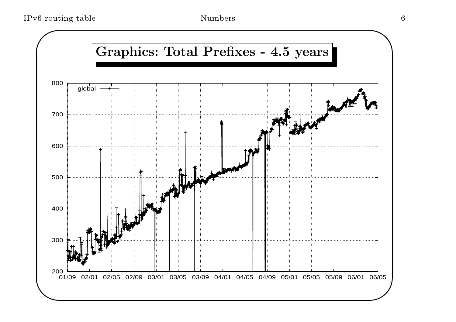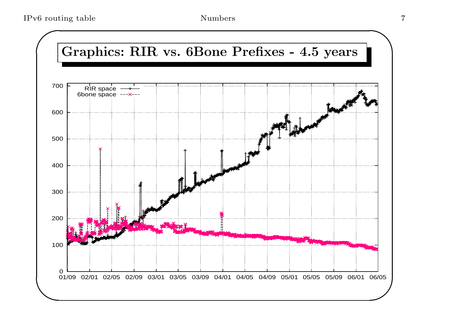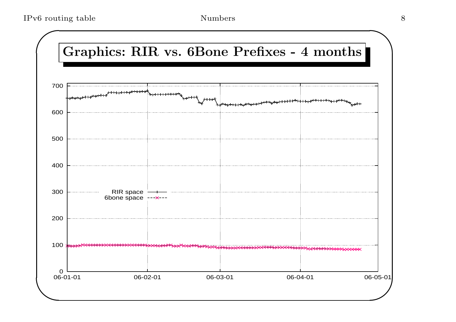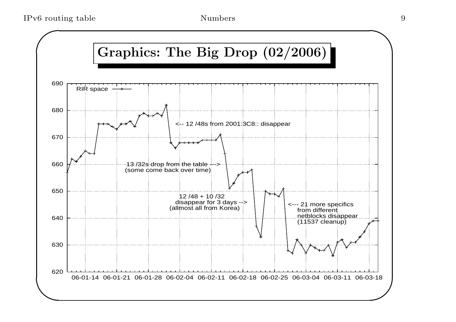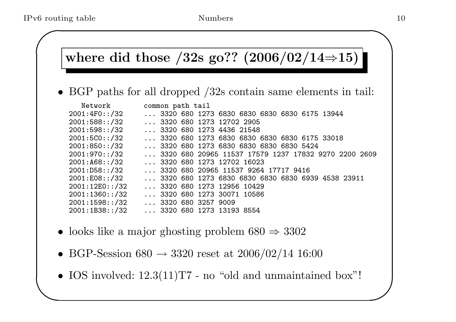#### where did those  $/32s$  go?? (2006/02/14⇒15)

• BGP paths for all dropped /32s contain same elements in tail:

| Network        | common path tail                                     |
|----------------|------------------------------------------------------|
| 2001:4F0:./32  | 3320 680 1273 6830 6830 6830 6830 6175 13944         |
| 2001:588::/32  | $\ldots$ 3320 680 1273 12702 2905                    |
| 2001:598::/32  | 3320 680 1273 4436 21548                             |
| 2001:5C0::/32  | 3320 680 1273 6830 6830 6830 6830 6175 33018         |
| 2001:850::/32  | 3320 680 1273 6830 6830 6830 6830 5424               |
| 2001:970::/32  | 3320 680 20965 11537 17579 1237 17832 9270 2200 2609 |
| 2001:168::/32  | 3320 680 1273 12702 16023                            |
| 2001:DB8::/32  | 3320 680 20965 11537 9264 17717 9416                 |
| 2001:EO8::/32  | 3320 680 1273 6830 6830 6830 6830 6939 4538 23911    |
| 2001:12E0::/32 | $\ldots$ 3320 680 1273 12956 10429                   |
| 2001:1360::/32 | 3320 680 1273 30071 10586                            |
| 2001:1598::/32 | $\ldots$ 3320 680 3257 9009                          |
| 2001:1B38::/32 | 3320 680 1273 13193 8554                             |

- looks like a major ghosting problem  $680 \Rightarrow 3302$
- BGP-Session 680  $\rightarrow$  3320 reset at 2006/02/14 16:00
- $\setminus$ • IOS involved:  $12.3(11)$ T7 - no "old and unmaintained box"!

 $\bigwedge$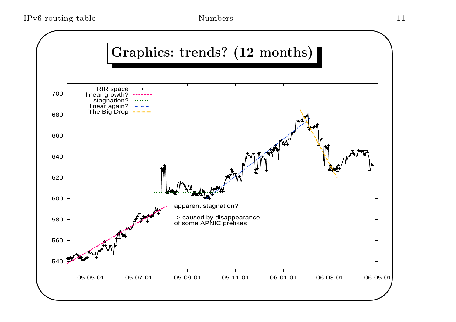IPv6 routing table  $\qquad \qquad \text{Numbers} \qquad \qquad \text{11}$ 

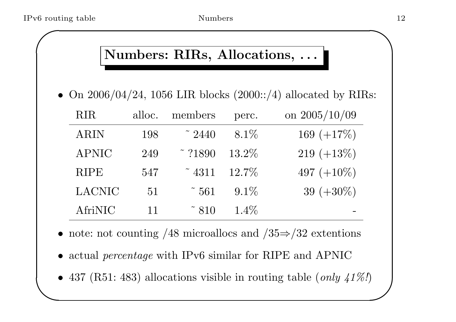### Numbers: RIRs, Allocations, ...

• On  $2006/04/24$ , 1056 LIR blocks  $(2000::/4)$  allocated by RIRs:

| <b>RIR</b>    | alloc. | members                   | perc.    | on $2005/10/09$ |
|---------------|--------|---------------------------|----------|-----------------|
| <b>ARIN</b>   | 198    | $\degree$ 2440            | $8.1\%$  | 169 $(+17\%)$   |
| <b>APNIC</b>  | 249    | $\degree$ ?1890           | $13.2\%$ | $219 (+13\%)$   |
| <b>RIPE</b>   | 547    | $\tilde{ }$ 4311          | $12.7\%$ | 497 $(+10\%)$   |
| <b>LACNIC</b> | 51     | $\tilde{ }}561$           | $9.1\%$  | 39 $(+30\%)$    |
| AfriNIC       | 11     | $\tilde{\phantom{1}}$ 810 | $1.4\%$  |                 |

- note: not counting  $/48$  microallocs and  $/35 \Rightarrow /32$  extentions
- actual *percentage* with IPv6 similar for RIPE and APNIC
- $\setminus$  $\bigcup$ • 437 (R51: 483) allocations visible in routing table (*only 41%!*)

 $\bigwedge$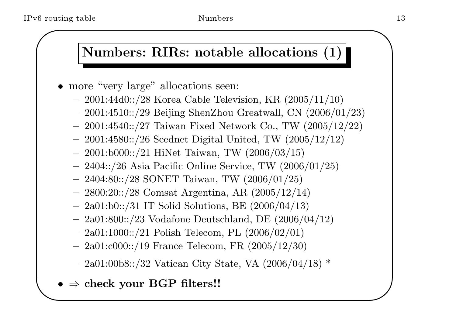### Numbers: RIRs: notable allocations (1)

- more "very large" allocations seen:
	- $-$  2001:44d0::/28 Korea Cable Television, KR  $(2005/11/10)$
	- 2001:4510::/29 Beijing ShenZhou Greatwall, CN (2006/01/23)
	- $-$  2001:4540::/27 Taiwan Fixed Network Co., TW  $(2005/12/22)$
	- $-$  2001:4580::/26 Seednet Digital United, TW  $(2005/12/12)$
	- 2001:b000::/21 HiNet Taiwan, TW (2006/03/15)
	- $-$  2404::/26 Asia Pacific Online Service, TW  $(2006/01/25)$
	- $-$  2404:80::/28 SONET Taiwan, TW (2006/01/25)
	- 2800:20::/28 Comsat Argentina, AR (2005/12/14)
	- $-$  2a01:b0::/31 IT Solid Solutions, BE  $(2006/04/13)$
	- 2a01:800::/23 Vodafone Deutschland, DE (2006/04/12)
	- 2a01:1000::/21 Polish Telecom, PL (2006/02/01)
	- $-$  2a01:c000::/19 France Telecom, FR (2005/12/30)
	- $-$  2a01:00b8::/32 Vatican City State, VA (2006/04/18)  $*$
- $\setminus$  $\bullet \ \Rightarrow \text{check your BGP filters}! !$

 $\bigwedge$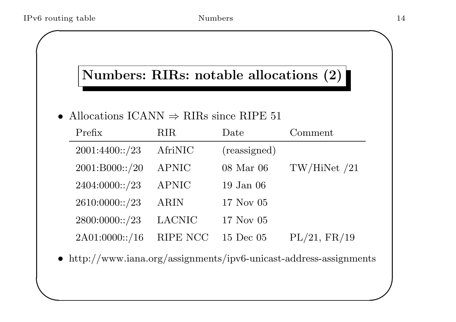$\setminus$ 

## Numbers: RIRs: notable allocations (2)

#### • Allocations ICANN  $\Rightarrow$  RIRs since RIPE 51

| Prefix         | <b>RIR</b>    | Date          | Comment      |
|----------------|---------------|---------------|--------------|
| 2001:4400::/23 | AfriNIC       | (reassigned)  |              |
| 2001:B000::/20 | <b>APNIC</b>  | 08 Mar 06     | TW/HiNet /21 |
| 2404:0000::/23 | <b>APNIC</b>  | $19$ Jan $06$ |              |
| 2610:0000::/23 | <b>ARIN</b>   | 17 Nov 05     |              |
| 2800:0000::/23 | <b>LACNIC</b> | 17 Nov 05     |              |
| 2A01:0000::/16 | RIPE NCC      | 15 Dec 05     | PL/21, FR/19 |

• http://www.iana.org/assignments/ipv6-unicast-address-assignments

 $\bigwedge$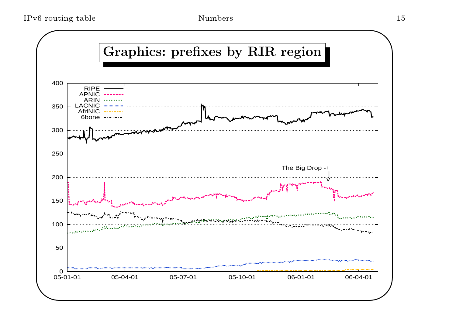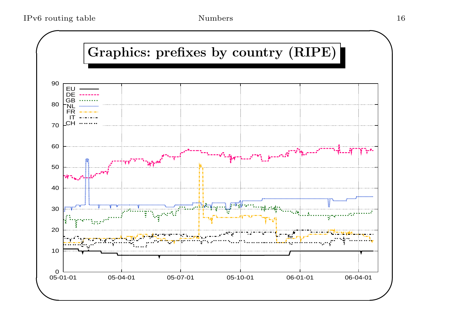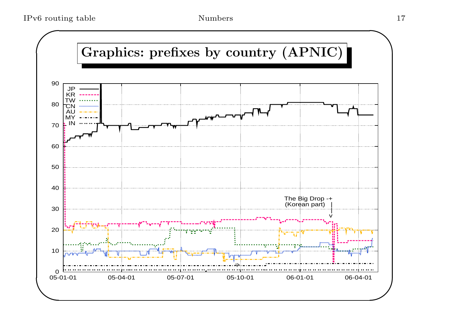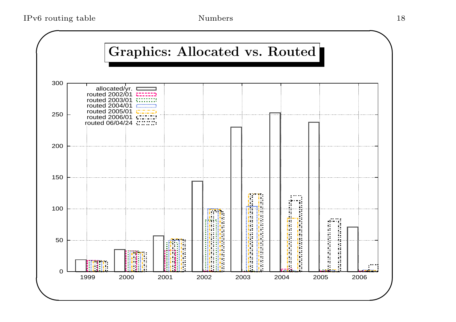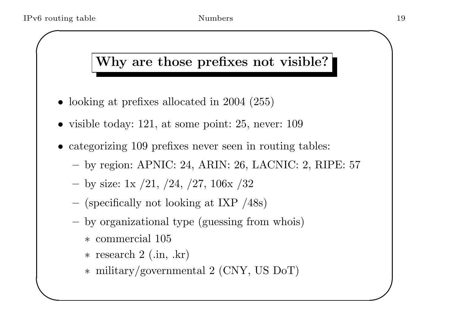$\setminus$ 

## Why are those prefixes not visible?

- looking at prefixes allocated in 2004 (255)
- visible today: 121, at some point: 25, never: 109
- categorizing 109 prefixes never seen in routing tables:
	- by region: APNIC: 24, ARIN: 26, LACNIC: 2, RIPE: 57
	- by size: 1x  $/21, /24, /27, 106$ x  $/32$
	- (specifically not looking at IXP /48s)
	- by organizational type (guessing from whois)
		- ∗ commercial 105
		- ∗ research <sup>2</sup> (.in, .kr)
		- ∗ military/governmental <sup>2</sup> (CNY, US DoT)

 $\bigwedge$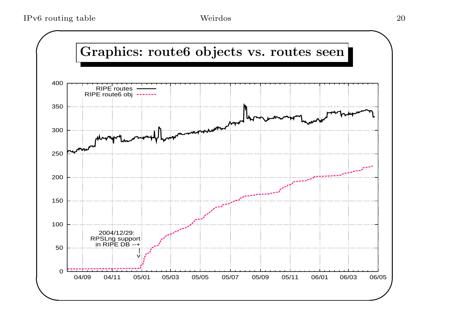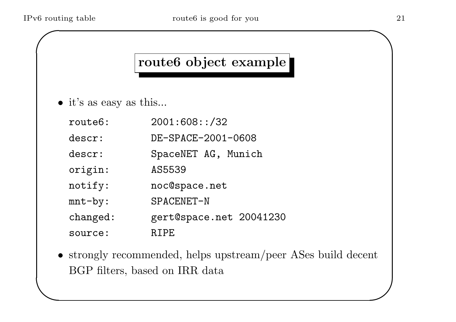$\setminus$ 

## route6 object example

- it's as easy as this...
	- route6: 2001:608::/32 descr: DE-SPACE-2001-0608 descr: SpaceNET AG, Munich origin: AS5539 notify: noc@space.net mnt-by: SPACENET-N changed: gert@space.net 20041230 source: RIPE
- strongly recommended, helps upstream/peer ASes build decent BGP filters, based on IRR data

 $\bigwedge$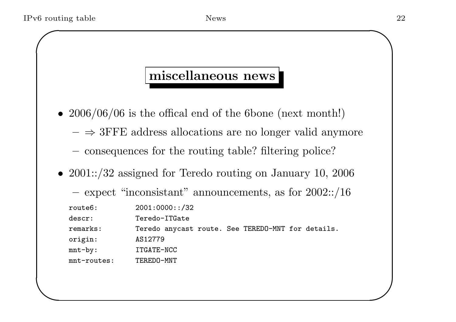$\setminus$ 

#### miscellaneous news

- 2006/06/06 is the offical end of the 6bone (next month!)
	- $\Rightarrow$  3FFE address allocations are no longer valid anymore
	- consequences for the routing table? filtering police?
- 2001::/32 assigned for Teredo routing on January 10, 2006
	- $-$  expect "inconsistant" announcements, as for  $2002::/16$

route6: 2001:0000::/32

descr: Teredo-ITGate

remarks: Teredo anycas<sup>t</sup> route. See TEREDO-MNT for details.

origin: AS12779

mnt-by: ITGATE-NCC

mnt-routes: TEREDO-MNT

 $\bigwedge$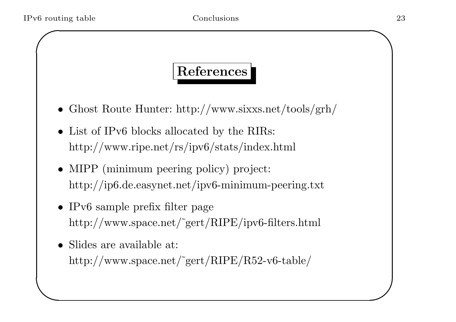$\setminus$ 

## References

- Ghost Route Hunter: http://www.sixxs.net/tools/grh/
- List of IPv6 blocks allocated by the RIRs: http://www.ripe.net/rs/ipv6/stats/index.html
- MIPP (minimum peering policy) project: http://ip6.de.easynet.net/ipv6-minimum-peering.txt
- IPv6 sample prefix filter page http://www.space.net/˜gert/RIPE/ipv6-filters.html
- Slides are available at: http://www.space.net/˜gert/RIPE/R52-v6-table/

 $\bigwedge$